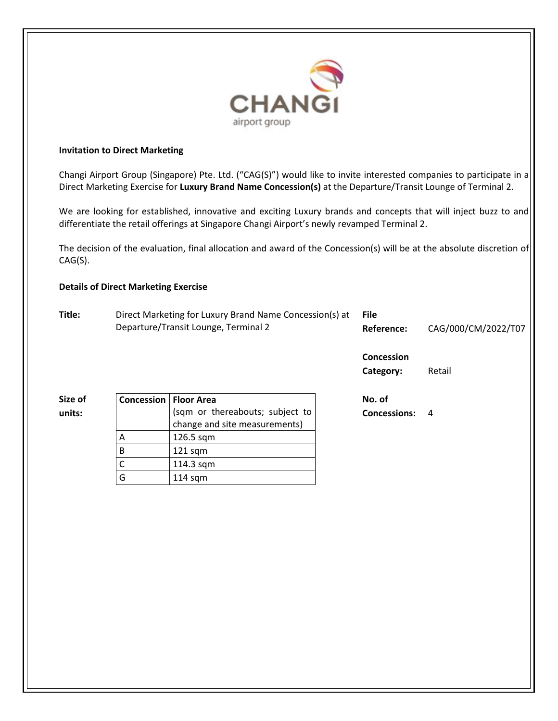

## Invitation to Direct Marketing

Changi Airport Group (Singapore) Pte. Ltd. ("CAG(S)") would like to invite interested companies to participate in a Direct Marketing Exercise for Luxury Brand Name Concession(s) at the Departure/Transit Lounge of Terminal 2.

We are looking for established, innovative and exciting Luxury brands and concepts that will inject buzz to and differentiate the retail offerings at Singapore Changi Airport's newly revamped Terminal 2.

The decision of the evaluation, final allocation and award of the Concession(s) will be at the absolute discretion of CAG(S).

## Details of Direct Marketing Exercise

| Title: | Direct Marketing for Luxury Brand Name Concession(s) at File |            |                     |
|--------|--------------------------------------------------------------|------------|---------------------|
|        | Departure/Transit Lounge, Terminal 2                         | Reference: | CAG/000/CM/2022/T07 |

Concession Category: Retail

No. of Concessions: 4

Size of units: Concession | Floor Area (sqm or thereabouts; subject to change and site measurements) A 126.5 sqm B | 121 sqm  $C = 114.3$  sqm G 114 sqm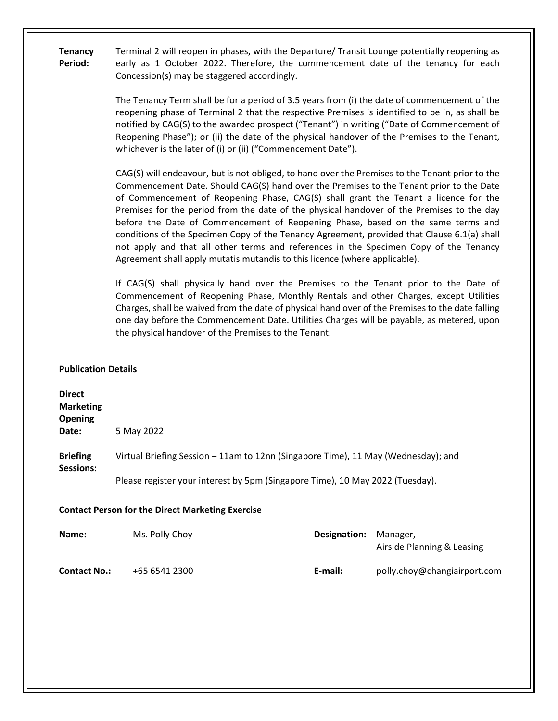Tenancy Period: Terminal 2 will reopen in phases, with the Departure/ Transit Lounge potentially reopening as early as 1 October 2022. Therefore, the commencement date of the tenancy for each Concession(s) may be staggered accordingly.

> The Tenancy Term shall be for a period of 3.5 years from (i) the date of commencement of the reopening phase of Terminal 2 that the respective Premises is identified to be in, as shall be notified by CAG(S) to the awarded prospect ("Tenant") in writing ("Date of Commencement of Reopening Phase"); or (ii) the date of the physical handover of the Premises to the Tenant, whichever is the later of (i) or (ii) ("Commencement Date").

> CAG(S) will endeavour, but is not obliged, to hand over the Premises to the Tenant prior to the Commencement Date. Should CAG(S) hand over the Premises to the Tenant prior to the Date of Commencement of Reopening Phase, CAG(S) shall grant the Tenant a licence for the Premises for the period from the date of the physical handover of the Premises to the day before the Date of Commencement of Reopening Phase, based on the same terms and conditions of the Specimen Copy of the Tenancy Agreement, provided that Clause 6.1(a) shall not apply and that all other terms and references in the Specimen Copy of the Tenancy Agreement shall apply mutatis mutandis to this licence (where applicable).

> If CAG(S) shall physically hand over the Premises to the Tenant prior to the Date of Commencement of Reopening Phase, Monthly Rentals and other Charges, except Utilities Charges, shall be waived from the date of physical hand over of the Premises to the date falling one day before the Commencement Date. Utilities Charges will be payable, as metered, upon the physical handover of the Premises to the Tenant.

## Publication Details

| <b>Direct</b><br><b>Marketing</b><br><b>Opening</b><br>Date: | 5 May 2022                                                                        |              |                                        |  |  |
|--------------------------------------------------------------|-----------------------------------------------------------------------------------|--------------|----------------------------------------|--|--|
| <b>Briefing</b><br>Sessions:                                 | Virtual Briefing Session – 11am to 12nn (Singapore Time), 11 May (Wednesday); and |              |                                        |  |  |
|                                                              | Please register your interest by 5pm (Singapore Time), 10 May 2022 (Tuesday).     |              |                                        |  |  |
| <b>Contact Person for the Direct Marketing Exercise</b>      |                                                                                   |              |                                        |  |  |
| Name:                                                        | Ms. Polly Choy                                                                    | Designation: | Manager,<br>Airside Planning & Leasing |  |  |
| <b>Contact No.:</b>                                          | +65 6541 2300                                                                     | E-mail:      | polly.choy@changiairport.com           |  |  |
|                                                              |                                                                                   |              |                                        |  |  |